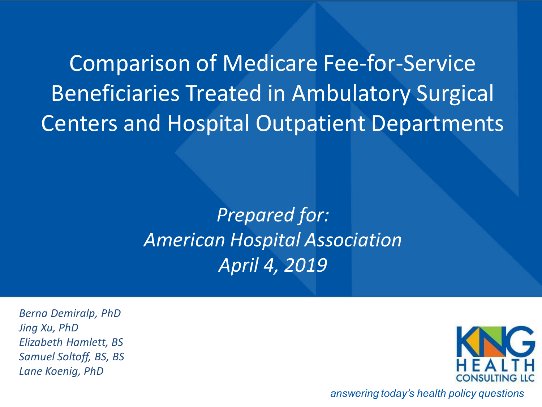> *Prepared for: American Hospital Association April 4, 2019*

*Berna Demiralp, PhD Jing Xu, PhD Elizabeth Hamlett, BS Samuel Soltoff, BS, BS Lane Koenig, PhD*



*answering today's health policy questions*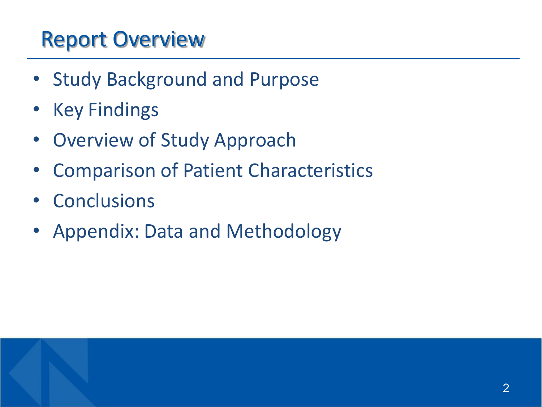#### Report Overview

- Study Background and Purpose
- Key Findings
- Overview of Study Approach
- Comparison of Patient Characteristics
- Conclusions
- Appendix: Data and Methodology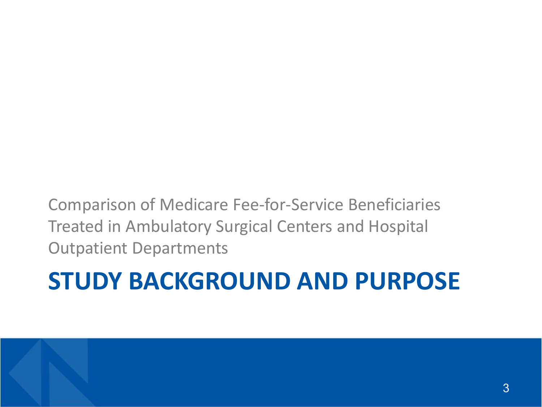# **STUDY BACKGROUND AND PURPOSE**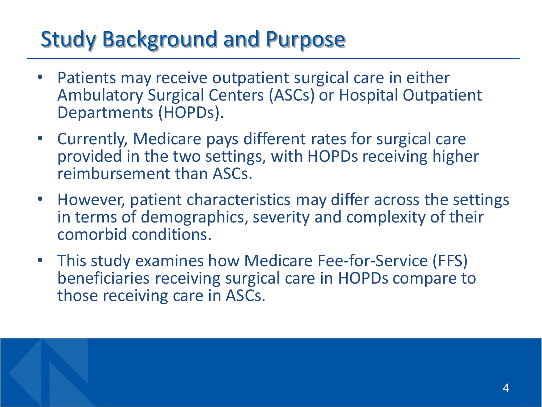### Study Background and Purpose

- Patients may receive outpatient surgical care in either Ambulatory Surgical Centers (ASCs) or Hospital Outpatient Departments (HOPDs).
- Currently, Medicare pays different rates for surgical care provided in the two settings, with HOPDs receiving higher reimbursement than ASCs.
- However, patient characteristics may differ across the settings in terms of demographics, severity and complexity of their comorbid conditions.
- This study examines how Medicare Fee-for-Service (FFS) beneficiaries receiving surgical care in HOPDs compare to those receiving care in ASCs.

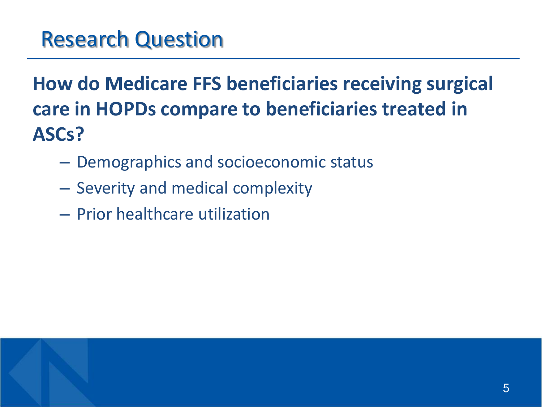#### **How do Medicare FFS beneficiaries receiving surgical care in HOPDs compare to beneficiaries treated in ASCs?**

- Demographics and socioeconomic status
- Severity and medical complexity
- Prior healthcare utilization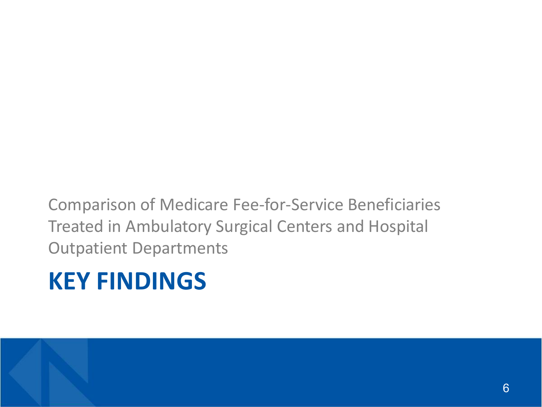# **KEY FINDINGS**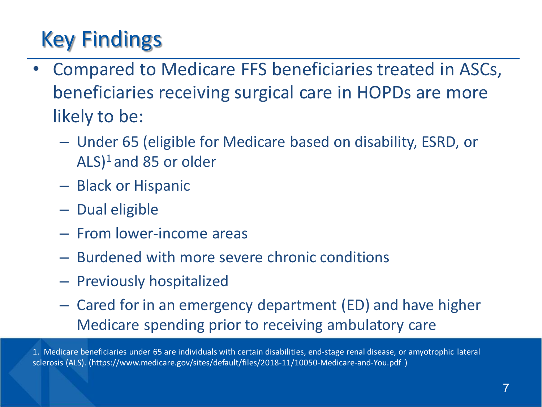# Key Findings

- Compared to Medicare FFS beneficiaries treated in ASCs, beneficiaries receiving surgical care in HOPDs are more likely to be:
	- Under 65 (eligible for Medicare based on disability, ESRD, or  $(ALS)^1$  and 85 or older
	- Black or Hispanic
	- Dual eligible
	- From lower-income areas
	- Burdened with more severe chronic conditions
	- Previously hospitalized
	- Cared for in an emergency department (ED) and have higher Medicare spending prior to receiving ambulatory care

1. Medicare beneficiaries under 65 are individuals with certain disabilities, end-stage renal disease, or amyotrophic lateral sclerosis (ALS). (https://www.medicare.gov/sites/default/files/2018-11/10050-Medicare-and-You.pdf )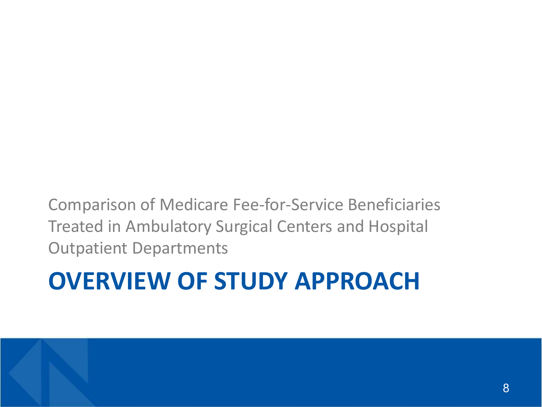# **OVERVIEW OF STUDY APPROACH**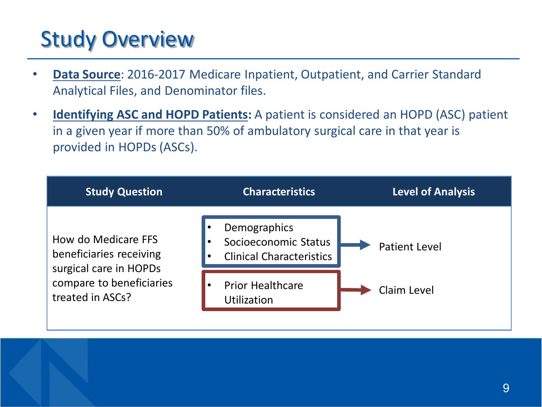### Study Overview

- **Data Source**: 2016-2017 Medicare Inpatient, Outpatient, and Carrier Standard Analytical Files, and Denominator files.
- **Identifying ASC and HOPD Patients:** A patient is considered an HOPD (ASC) patient in a given year if more than 50% of ambulatory surgical care in that year is provided in HOPDs (ASCs).

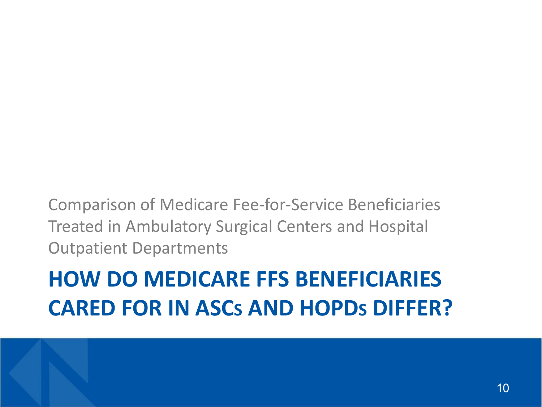### **HOW DO MEDICARE FFS BENEFICIARIES CARED FOR IN ASCS AND HOPDS DIFFER?**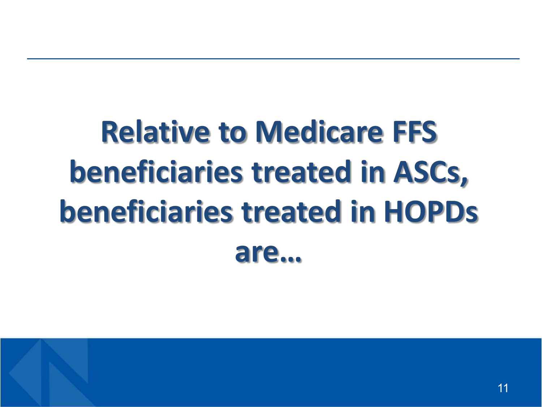# **Relative to Medicare FFS beneficiaries treated in ASCs, beneficiaries treated in HOPDs are…**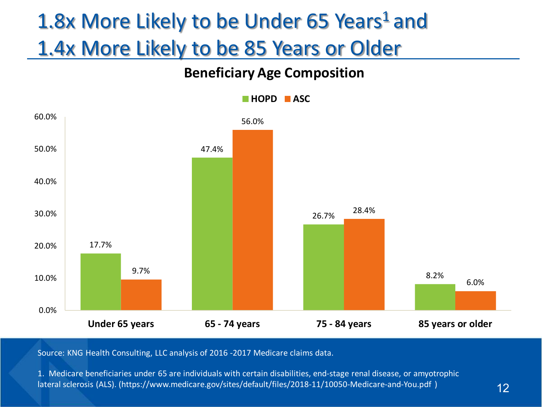### 1.8x More Likely to be Under 65 Years<sup>1</sup> and 1.4x More Likely to be 85 Years or Older

#### **Beneficiary Age Composition**



Source: KNG Health Consulting, LLC analysis of 2016 -2017 Medicare claims data.

1. Medicare beneficiaries under 65 are individuals with certain disabilities, end-stage renal disease, or amyotrophic lateral sclerosis (ALS). (https://www.medicare.gov/sites/default/files/2018-11/10050-Medicare-and-You.pdf )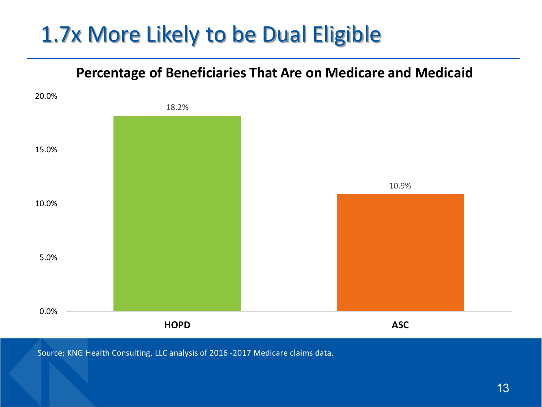#### 1.7x More Likely to be Dual Eligible

#### **Percentage of Beneficiaries That Are on Medicare and Medicaid**

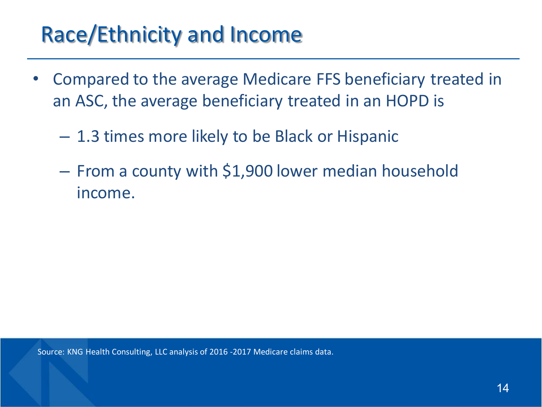#### Race/Ethnicity and Income

- Compared to the average Medicare FFS beneficiary treated in an ASC, the average beneficiary treated in an HOPD is
	- 1.3 times more likely to be Black or Hispanic
	- From a county with \$1,900 lower median household income.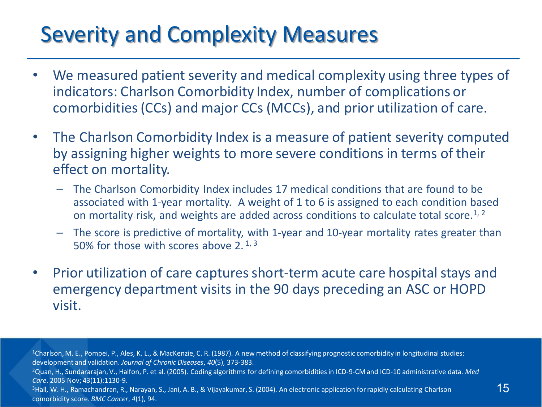#### Severity and Complexity Measures

- We measured patient severity and medical complexity using three types of indicators: Charlson Comorbidity Index, number of complications or comorbidities (CCs) and major CCs (MCCs), and prior utilization of care.
- The Charlson Comorbidity Index is a measure of patient severity computed by assigning higher weights to more severe conditions in terms of their effect on mortality.
	- The Charlson Comorbidity Index includes 17 medical conditions that are found to be associated with 1-year mortality. A weight of 1 to 6 is assigned to each condition based on mortality risk, and weights are added across conditions to calculate total score.<sup>1, 2</sup>
	- The score is predictive of mortality, with 1-year and 10-year mortality rates greater than 50% for those with scores above 2.  $1, 3$
- Prior utilization of care captures short-term acute care hospital stays and emergency department visits in the 90 days preceding an ASC or HOPD visit.

1Charlson, M. E., Pompei, P., Ales, K. L., & MacKenzie, C. R. (1987). A new method of classifying prognostic comorbidity in longitudinal studies: development and validation. *Journal of Chronic Diseases*, *40*(5), 373-383.

2Quan, H., Sundararajan, V., Halfon, P. et al. (2005). Coding algorithms for defining comorbidities in ICD-9-CM and ICD-10 administrative data. *Med Care*. 2005 Nov; 43(11):1130-9.

<sup>3</sup>Hall, W. H., Ramachandran, R., Narayan, S., Jani, A. B., & Vijayakumar, S. (2004). An electronic application for rapidly calculating Charlson comorbidity score. *BMC Cancer*, *4*(1), 94.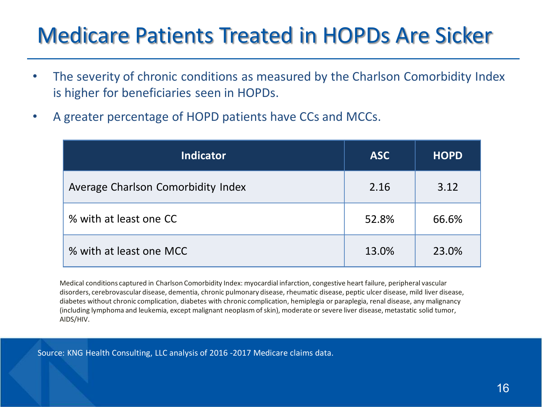#### Medicare Patients Treated in HOPDs Are Sicker

- The severity of chronic conditions as measured by the Charlson Comorbidity Index is higher for beneficiaries seen in HOPDs.
- A greater percentage of HOPD patients have CCs and MCCs.

| <b>Indicator</b>                   | <b>ASC</b> | <b>HOPD</b> |
|------------------------------------|------------|-------------|
| Average Charlson Comorbidity Index | 2.16       | 3.12        |
| % with at least one CC             | 52.8%      | 66.6%       |
| % with at least one MCC            | 13.0%      | 23.0%       |

Medical conditions captured in Charlson Comorbidity Index: myocardial infarction, congestive heart failure, peripheral vascular disorders, cerebrovascular disease, dementia, chronic pulmonary disease, rheumatic disease, peptic ulcer disease, mild liver disease, diabetes without chronic complication, diabetes with chronic complication, hemiplegia or paraplegia, renal disease, any malignancy (including lymphoma and leukemia, except malignant neoplasm of skin), moderate or severe liver disease, metastatic solid tumor, AIDS/HIV.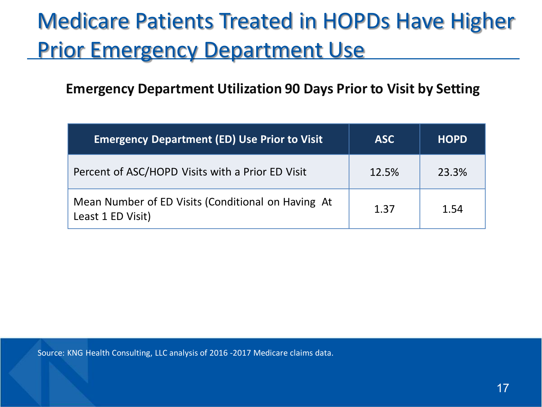### Medicare Patients Treated in HOPDs Have Higher **Prior Emergency Department Use**

#### **Emergency Department Utilization 90 Days Prior to Visit by Setting**

| <b>Emergency Department (ED) Use Prior to Visit</b>                     | <b>ASC</b> | <b>HOPD</b> |
|-------------------------------------------------------------------------|------------|-------------|
| Percent of ASC/HOPD Visits with a Prior ED Visit                        | 12.5%      | 23.3%       |
| Mean Number of ED Visits (Conditional on Having At<br>Least 1 ED Visit) | 1.37       | 1.54        |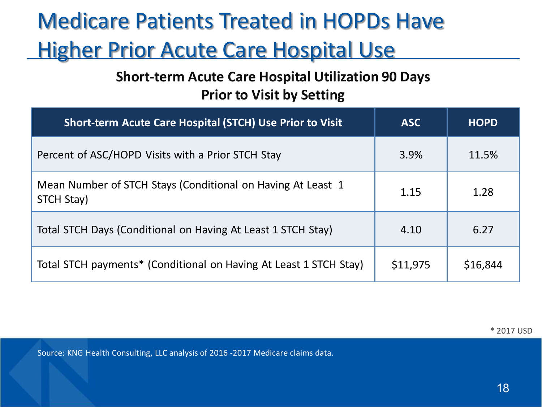# Medicare Patients Treated in HOPDs Have **Higher Prior Acute Care Hospital Use**

#### **Short-term Acute Care Hospital Utilization 90 Days Prior to Visit by Setting**

| <b>Short-term Acute Care Hospital (STCH) Use Prior to Visit</b>           | <b>ASC</b> | <b>HOPD</b> |
|---------------------------------------------------------------------------|------------|-------------|
| Percent of ASC/HOPD Visits with a Prior STCH Stay                         | 3.9%       | 11.5%       |
| Mean Number of STCH Stays (Conditional on Having At Least 1<br>STCH Stay) | 1.15       | 1.28        |
| Total STCH Days (Conditional on Having At Least 1 STCH Stay)              | 4.10       | 6.27        |
| Total STCH payments* (Conditional on Having At Least 1 STCH Stay)         | \$11,975   | \$16,844    |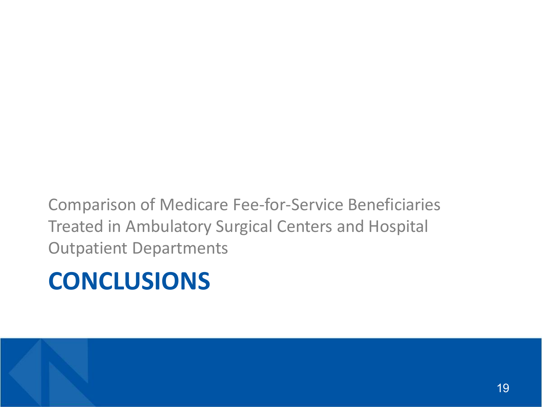# **CONCLUSIONS**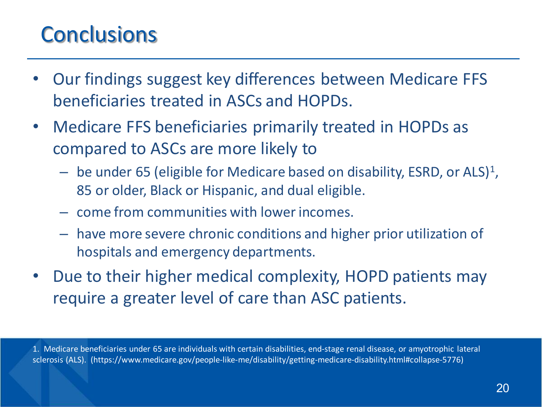#### **Conclusions**

- Our findings suggest key differences between Medicare FFS beneficiaries treated in ASCs and HOPDs.
- Medicare FFS beneficiaries primarily treated in HOPDs as compared to ASCs are more likely to
	- $-$  be under 65 (eligible for Medicare based on disability, ESRD, or ALS)<sup>1</sup>, 85 or older, Black or Hispanic, and dual eligible.
	- come from communities with lower incomes.
	- have more severe chronic conditions and higher prior utilization of hospitals and emergency departments.
- Due to their higher medical complexity, HOPD patients may require a greater level of care than ASC patients.

1. Medicare beneficiaries under 65 are individuals with certain disabilities, end-stage renal disease, or amyotrophic lateral sclerosis (ALS). (https://www.medicare.gov/people-like-me/disability/getting-medicare-disability.html#collapse-5776)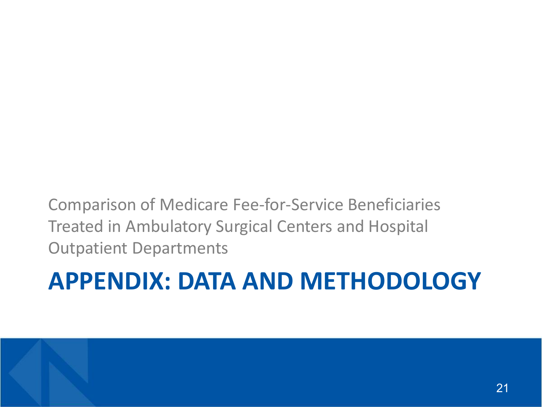# **APPENDIX: DATA AND METHODOLOGY**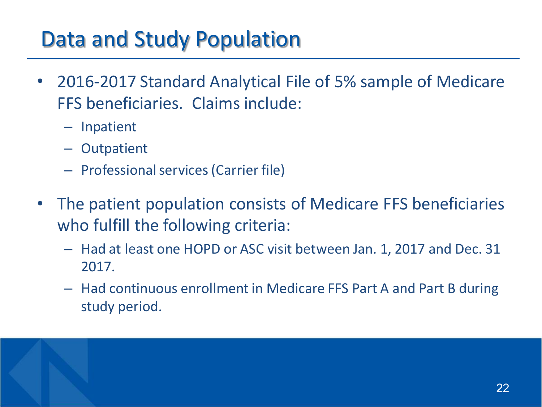#### Data and Study Population

- 2016-2017 Standard Analytical File of 5% sample of Medicare FFS beneficiaries. Claims include:
	- Inpatient
	- Outpatient
	- Professional services (Carrier file)
- The patient population consists of Medicare FFS beneficiaries who fulfill the following criteria:
	- Had at least one HOPD or ASC visit between Jan. 1, 2017 and Dec. 31 2017.
	- Had continuous enrollment in Medicare FFS Part A and Part B during study period.

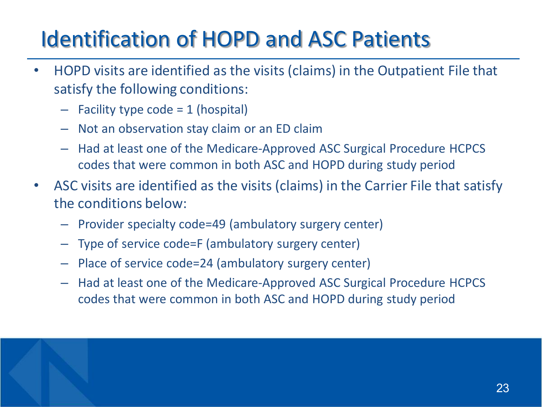# Identification of HOPD and ASC Patients

- HOPD visits are identified as the visits (claims) in the Outpatient File that satisfy the following conditions:
	- $-$  Facility type code = 1 (hospital)
	- Not an observation stay claim or an ED claim
	- Had at least one of the Medicare-Approved ASC Surgical Procedure HCPCS codes that were common in both ASC and HOPD during study period
- ASC visits are identified as the visits (claims) in the Carrier File that satisfy the conditions below:
	- Provider specialty code=49 (ambulatory surgery center)
	- Type of service code=F (ambulatory surgery center)
	- Place of service code=24 (ambulatory surgery center)
	- Had at least one of the Medicare-Approved ASC Surgical Procedure HCPCS codes that were common in both ASC and HOPD during study period

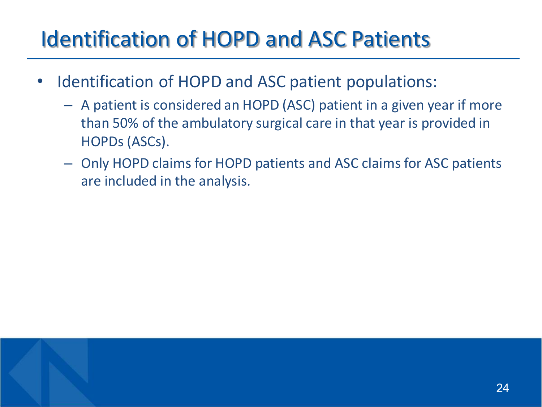### Identification of HOPD and ASC Patients

- Identification of HOPD and ASC patient populations:
	- A patient is considered an HOPD (ASC) patient in a given year if more than 50% of the ambulatory surgical care in that year is provided in HOPDs (ASCs).
	- Only HOPD claims for HOPD patients and ASC claims for ASC patients are included in the analysis.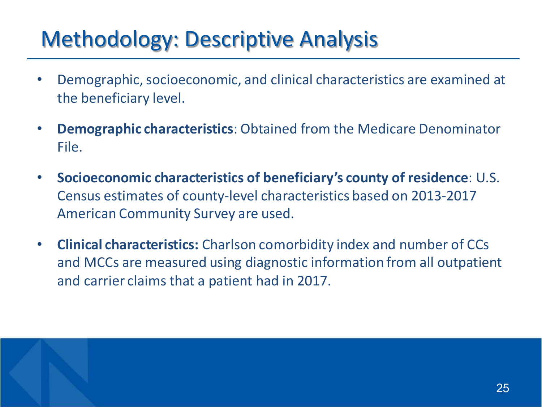#### Methodology: Descriptive Analysis

- Demographic, socioeconomic, and clinical characteristics are examined at the beneficiary level.
- **Demographic characteristics**: Obtained from the Medicare Denominator File.
- **Socioeconomic characteristics of beneficiary's county of residence**: U.S. Census estimates of county-level characteristics based on 2013-2017 American Community Survey are used.
- **Clinical characteristics:** Charlson comorbidity index and number of CCs and MCCs are measured using diagnostic information from all outpatient and carrier claims that a patient had in 2017.